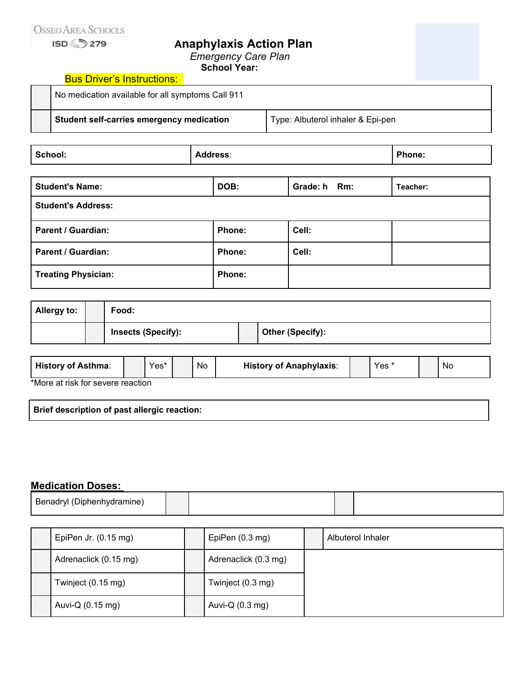## **Anaphylaxis Action Plan**

*Emergency Care Plan*

**School Year:**

| Student self-carries emergency medication         | Type: Albuterol inhaler & Epi-pen |  |
|---------------------------------------------------|-----------------------------------|--|
| No medication available for all symptoms Call 911 |                                   |  |
| <b>Bus Driver's Instructions:</b>                 |                                   |  |

| School: | 755<br>_______ | D.<br>.<br>. |
|---------|----------------|--------------|
|---------|----------------|--------------|

| <b>Student's Name:</b>     | DOB:   | Grade: h Rm: | Teacher: |
|----------------------------|--------|--------------|----------|
| <b>Student's Address:</b>  |        |              |          |
| <b>Parent / Guardian:</b>  | Phone: | Cell:        |          |
| Parent / Guardian:         | Phone: | Cell:        |          |
| <b>Treating Physician:</b> | Phone: |              |          |

| <b>Allergy to:</b> | Food:                     |  |                         |
|--------------------|---------------------------|--|-------------------------|
|                    | <b>Insects (Specify):</b> |  | <b>Other (Specify):</b> |

| <b>History of Asthma:</b>         |  | Yes* |  | No | <b>History of Anaphylaxis:</b> |  | Yes |  | No |
|-----------------------------------|--|------|--|----|--------------------------------|--|-----|--|----|
| *More at risk for severe reaction |  |      |  |    |                                |  |     |  |    |

e at risk for severe reaction

| Brief description of past allergic reaction: |  |
|----------------------------------------------|--|
|----------------------------------------------|--|

## **Medication Doses:**

| $D_{nn}$<br>nю<br>ше |  |  |
|----------------------|--|--|

| EpiPen Jr. (0.15 mg)       | EpiPen $(0.3 \text{ mg})$ | Albuterol Inhaler |
|----------------------------|---------------------------|-------------------|
| Adrenaclick (0.15 mg)      | Adrenaclick (0.3 mg)      |                   |
| Twinject (0.15 mg)         | Twinject (0.3 mg)         |                   |
| Auvi-Q $(0.15 \text{ mg})$ | Auvi-Q $(0.3 \text{ mg})$ |                   |